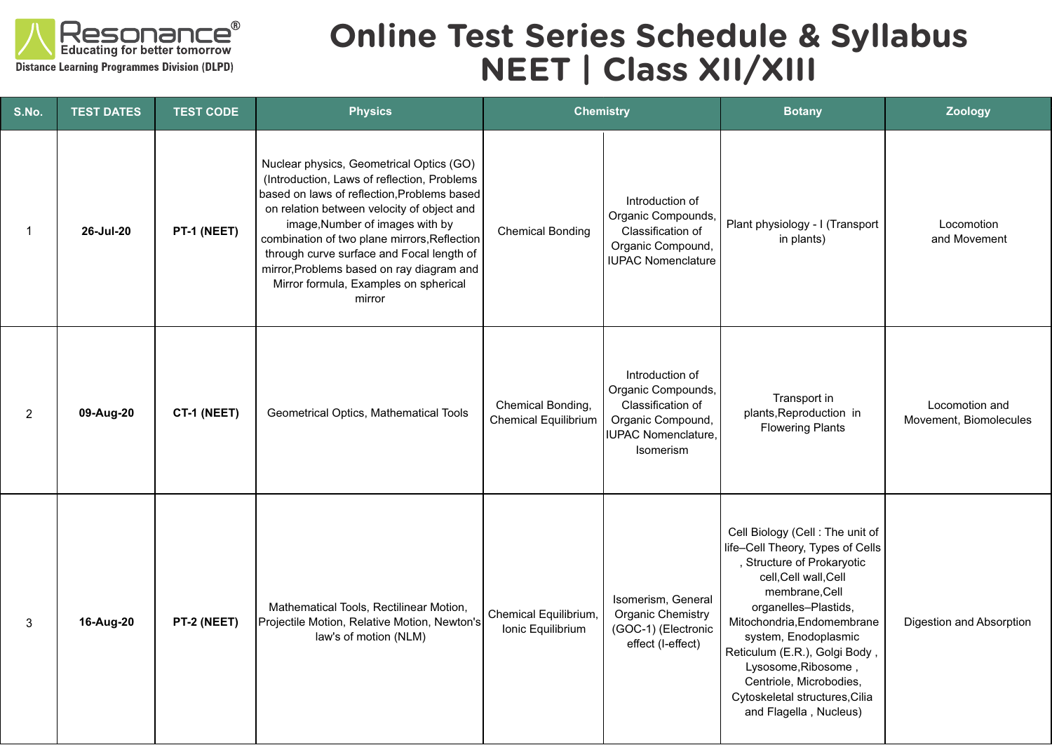

## **Online Test Series Schedule & Syllabus NEET | Class XII/XIII**

| S.No.          | <b>TEST DATES</b> | <b>TEST CODE</b> | <b>Physics</b>                                                                                                                                                                                                                                                                                                                                                                                                       | <b>Chemistry</b>                           |                                                                                                                     | <b>Botany</b>                                                                                                                                                                                                                                                                                                                                                             | <b>Zoology</b>                           |
|----------------|-------------------|------------------|----------------------------------------------------------------------------------------------------------------------------------------------------------------------------------------------------------------------------------------------------------------------------------------------------------------------------------------------------------------------------------------------------------------------|--------------------------------------------|---------------------------------------------------------------------------------------------------------------------|---------------------------------------------------------------------------------------------------------------------------------------------------------------------------------------------------------------------------------------------------------------------------------------------------------------------------------------------------------------------------|------------------------------------------|
| $\mathbf{1}$   | 26-Jul-20         | PT-1 (NEET)      | Nuclear physics, Geometrical Optics (GO)<br>(Introduction, Laws of reflection, Problems<br>based on laws of reflection, Problems based<br>on relation between velocity of object and<br>image, Number of images with by<br>combination of two plane mirrors, Reflection<br>through curve surface and Focal length of<br>mirror, Problems based on ray diagram and<br>Mirror formula, Examples on spherical<br>mirror | <b>Chemical Bonding</b>                    | Introduction of<br>Organic Compounds,<br>Classification of<br>Organic Compound,<br><b>IUPAC Nomenclature</b>        | Plant physiology - I (Transport<br>in plants)                                                                                                                                                                                                                                                                                                                             | Locomotion<br>and Movement               |
| $\overline{2}$ | 09-Aug-20         | CT-1 (NEET)      | Geometrical Optics, Mathematical Tools                                                                                                                                                                                                                                                                                                                                                                               | Chemical Bonding,<br>Chemical Equilibrium  | Introduction of<br>Organic Compounds,<br>Classification of<br>Organic Compound,<br>IUPAC Nomenclature,<br>Isomerism | Transport in<br>plants, Reproduction in<br><b>Flowering Plants</b>                                                                                                                                                                                                                                                                                                        | Locomotion and<br>Movement, Biomolecules |
| 3              | 16-Aug-20         | PT-2 (NEET)      | Mathematical Tools, Rectilinear Motion,<br>Projectile Motion, Relative Motion, Newton's<br>law's of motion (NLM)                                                                                                                                                                                                                                                                                                     | Chemical Equilibrium,<br>Ionic Equilibrium | Isomerism, General<br><b>Organic Chemistry</b><br>(GOC-1) (Electronic<br>effect (I-effect)                          | Cell Biology (Cell: The unit of<br>life-Cell Theory, Types of Cells<br>, Structure of Prokaryotic<br>cell, Cell wall, Cell<br>membrane, Cell<br>organelles-Plastids,<br>Mitochondria, Endomembrane<br>system, Enodoplasmic<br>Reticulum (E.R.), Golgi Body,<br>Lysosome, Ribosome,<br>Centriole, Microbodies,<br>Cytoskeletal structures, Cilia<br>and Flagella, Nucleus) | Digestion and Absorption                 |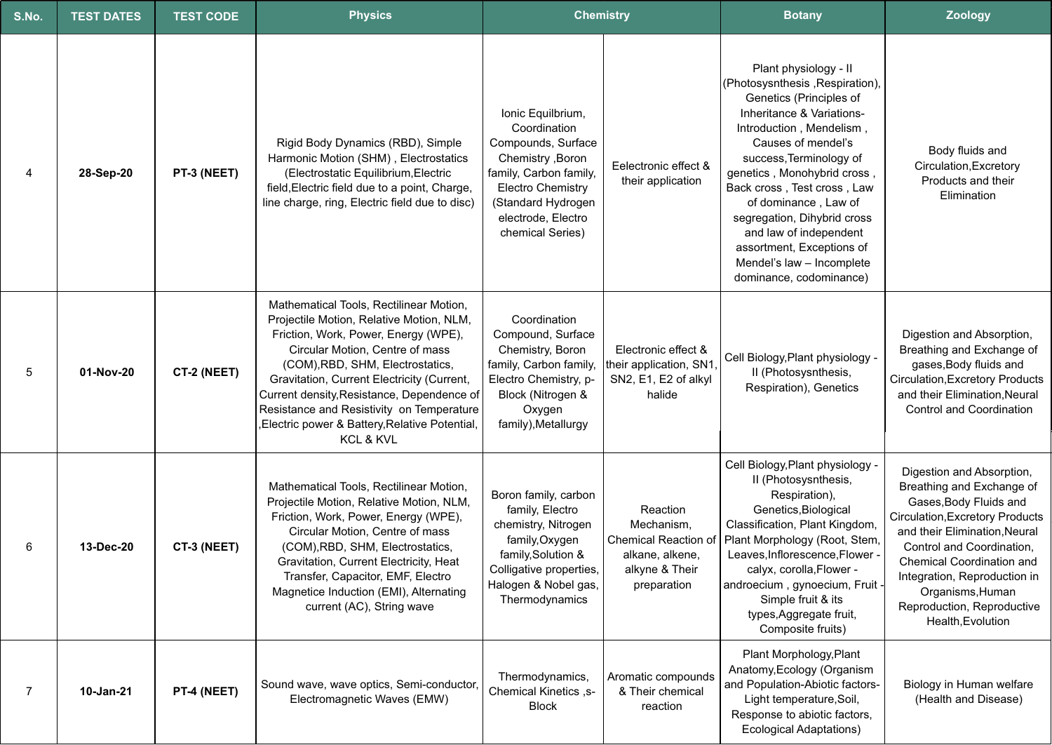| S.No. | <b>TEST DATES</b> | <b>TEST CODE</b> | <b>Physics</b>                                                                                                                                                                                                                                                                                                                                                                                            | <b>Chemistry</b>                                                                                                                                                                                   |                                                                                                           | <b>Botany</b>                                                                                                                                                                                                                                                                                                                                                                                                                     | <b>Zoology</b>                                                                                                                                                                                                                                                                                                               |
|-------|-------------------|------------------|-----------------------------------------------------------------------------------------------------------------------------------------------------------------------------------------------------------------------------------------------------------------------------------------------------------------------------------------------------------------------------------------------------------|----------------------------------------------------------------------------------------------------------------------------------------------------------------------------------------------------|-----------------------------------------------------------------------------------------------------------|-----------------------------------------------------------------------------------------------------------------------------------------------------------------------------------------------------------------------------------------------------------------------------------------------------------------------------------------------------------------------------------------------------------------------------------|------------------------------------------------------------------------------------------------------------------------------------------------------------------------------------------------------------------------------------------------------------------------------------------------------------------------------|
| 4     | 28-Sep-20         | PT-3 (NEET)      | Rigid Body Dynamics (RBD), Simple<br>Harmonic Motion (SHM), Electrostatics<br>(Electrostatic Equilibrium, Electric<br>field, Electric field due to a point, Charge,<br>line charge, ring, Electric field due to disc)                                                                                                                                                                                     | Ionic Equilbrium,<br>Coordination<br>Compounds, Surface<br>Chemistry , Boron<br>family, Carbon family,<br><b>Electro Chemistry</b><br>(Standard Hydrogen<br>electrode, Electro<br>chemical Series) | Eelectronic effect &<br>their application                                                                 | Plant physiology - II<br>(Photosysnthesis, Respiration),<br>Genetics (Principles of<br>Inheritance & Variations-<br>Introduction, Mendelism,<br>Causes of mendel's<br>success, Terminology of<br>genetics, Monohybrid cross,<br>Back cross, Test cross, Law<br>of dominance, Law of<br>segregation, Dihybrid cross<br>and law of independent<br>assortment, Exceptions of<br>Mendel's law - Incomplete<br>dominance, codominance) | Body fluids and<br>Circulation, Excretory<br>Products and their<br>Elimination                                                                                                                                                                                                                                               |
| 5     | 01-Nov-20         | CT-2 (NEET)      | Mathematical Tools, Rectilinear Motion,<br>Projectile Motion, Relative Motion, NLM,<br>Friction, Work, Power, Energy (WPE),<br>Circular Motion, Centre of mass<br>(COM), RBD, SHM, Electrostatics,<br>Gravitation, Current Electricity (Current,<br>Current density, Resistance, Dependence of<br>Resistance and Resistivity on Temperature<br>Electric power & Battery, Relative Potential,<br>KCL & KVL | Coordination<br>Compound, Surface<br>Chemistry, Boron<br>family, Carbon family,<br>Electro Chemistry, p-<br>Block (Nitrogen &<br>Oxygen<br>family), Metallurgy                                     | Electronic effect &<br>their application, SN1<br>SN2, E1, E2 of alkyl<br>halide                           | Cell Biology, Plant physiology -<br>II (Photosysnthesis,<br>Respiration), Genetics                                                                                                                                                                                                                                                                                                                                                | Digestion and Absorption,<br>Breathing and Exchange of<br>gases, Body fluids and<br><b>Circulation, Excretory Products</b><br>and their Elimination, Neural<br><b>Control and Coordination</b>                                                                                                                               |
| 6     | 13-Dec-20         | CT-3 (NEET)      | Mathematical Tools, Rectilinear Motion,<br>Projectile Motion, Relative Motion, NLM,<br>Friction, Work, Power, Energy (WPE),<br>Circular Motion, Centre of mass<br>(COM), RBD, SHM, Electrostatics,<br>Gravitation, Current Electricity, Heat<br>Transfer, Capacitor, EMF, Electro<br>Magnetice Induction (EMI), Alternating<br>current (AC), String wave                                                  | Boron family, carbon<br>family, Electro<br>chemistry, Nitrogen<br>family, Oxygen<br>family, Solution &<br>Colligative properties,<br>Halogen & Nobel gas,<br>Thermodynamics                        | Reaction<br>Mechanism,<br><b>Chemical Reaction of</b><br>alkane, alkene,<br>alkyne & Their<br>preparation | Cell Biology, Plant physiology -<br>II (Photosysnthesis,<br>Respiration),<br>Genetics, Biological<br>Classification, Plant Kingdom,<br>Plant Morphology (Root, Stem,<br>Leaves, Inflorescence, Flower -<br>calyx, corolla, Flower -<br>androecium, gynoecium, Fruit -<br>Simple fruit & its<br>types, Aggregate fruit,<br>Composite fruits)                                                                                       | Digestion and Absorption,<br>Breathing and Exchange of<br>Gases, Body Fluids and<br><b>Circulation, Excretory Products</b><br>and their Elimination, Neural<br>Control and Coordination,<br>Chemical Coordination and<br>Integration, Reproduction in<br>Organisms, Human<br>Reproduction, Reproductive<br>Health, Evolution |
| 7     | 10-Jan-21         | PT-4 (NEET)      | Sound wave, wave optics, Semi-conductor,<br>Electromagnetic Waves (EMW)                                                                                                                                                                                                                                                                                                                                   | Thermodynamics,<br>Chemical Kinetics ,s-<br><b>Block</b>                                                                                                                                           | Aromatic compounds<br>& Their chemical<br>reaction                                                        | Plant Morphology, Plant<br>Anatomy, Ecology (Organism<br>and Population-Abiotic factors-<br>Light temperature, Soil,<br>Response to abiotic factors,<br><b>Ecological Adaptations)</b>                                                                                                                                                                                                                                            | Biology in Human welfare<br>(Health and Disease)                                                                                                                                                                                                                                                                             |